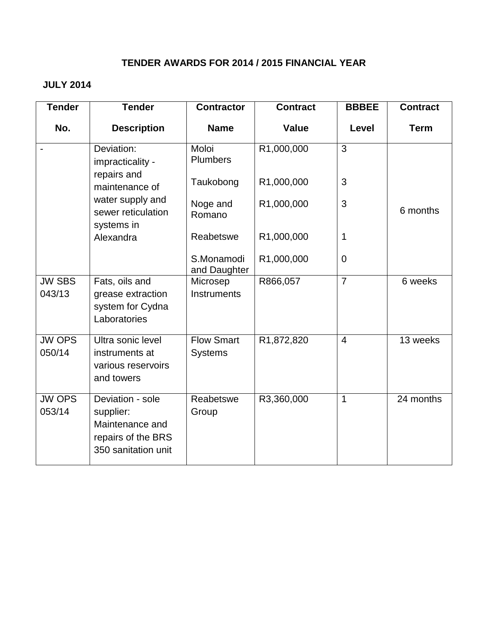## **TENDER AWARDS FOR 2014 / 2015 FINANCIAL YEAR**

# **JULY 2014**

| <b>Tender</b>           | <b>Tender</b>                                                                                 | <b>Contractor</b>                   | <b>Contract</b> | <b>BBBEE</b>   | <b>Contract</b> |
|-------------------------|-----------------------------------------------------------------------------------------------|-------------------------------------|-----------------|----------------|-----------------|
| No.                     | <b>Description</b>                                                                            | <b>Name</b>                         | <b>Value</b>    | Level          | <b>Term</b>     |
|                         | Deviation:<br>impracticality -                                                                | Moloi<br><b>Plumbers</b>            | R1,000,000      | $\overline{3}$ |                 |
|                         | repairs and<br>maintenance of                                                                 | Taukobong                           | R1,000,000      | 3              |                 |
|                         | water supply and<br>sewer reticulation<br>systems in                                          | Noge and<br>Romano                  | R1,000,000      | 3              | 6 months        |
|                         | Alexandra                                                                                     | Reabetswe                           | R1,000,000      | 1              |                 |
|                         |                                                                                               | S.Monamodi<br>and Daughter          | R1,000,000      | $\overline{0}$ |                 |
| <b>JW SBS</b><br>043/13 | Fats, oils and<br>grease extraction<br>system for Cydna<br>Laboratories                       | Microsep<br>Instruments             | R866,057        | $\overline{7}$ | 6 weeks         |
| <b>JW OPS</b><br>050/14 | Ultra sonic level<br>instruments at<br>various reservoirs<br>and towers                       | <b>Flow Smart</b><br><b>Systems</b> | R1,872,820      | $\overline{4}$ | 13 weeks        |
| <b>JW OPS</b><br>053/14 | Deviation - sole<br>supplier:<br>Maintenance and<br>repairs of the BRS<br>350 sanitation unit | Reabetswe<br>Group                  | R3,360,000      | 1              | 24 months       |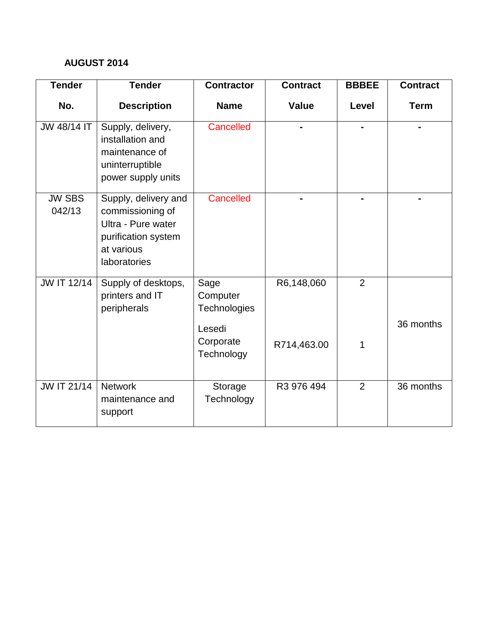## **AUGUST 2014**

| <b>Tender</b>           | <b>Tender</b>                                                                                                       | <b>Contractor</b>                          | <b>Contract</b> | <b>BBBEE</b>   | <b>Contract</b> |
|-------------------------|---------------------------------------------------------------------------------------------------------------------|--------------------------------------------|-----------------|----------------|-----------------|
| No.                     | <b>Description</b>                                                                                                  | <b>Name</b>                                | <b>Value</b>    | Level          | <b>Term</b>     |
| JW 48/14 IT             | Supply, delivery,<br>installation and<br>maintenance of<br>uninterruptible<br>power supply units                    | Cancelled                                  |                 |                |                 |
| <b>JW SBS</b><br>042/13 | Supply, delivery and<br>commissioning of<br>Ultra - Pure water<br>purification system<br>at various<br>laboratories | Cancelled                                  |                 |                |                 |
| JW IT 12/14             | Supply of desktops,<br>printers and IT<br>peripherals                                                               | Sage<br>Computer<br>Technologies<br>Lesedi | R6,148,060      | $\overline{2}$ | 36 months       |
|                         |                                                                                                                     | Corporate<br>Technology                    | R714,463.00     | 1              |                 |
| <b>JW IT 21/14</b>      | <b>Network</b><br>maintenance and<br>support                                                                        | Storage<br>Technology                      | R3 976 494      | $\overline{2}$ | 36 months       |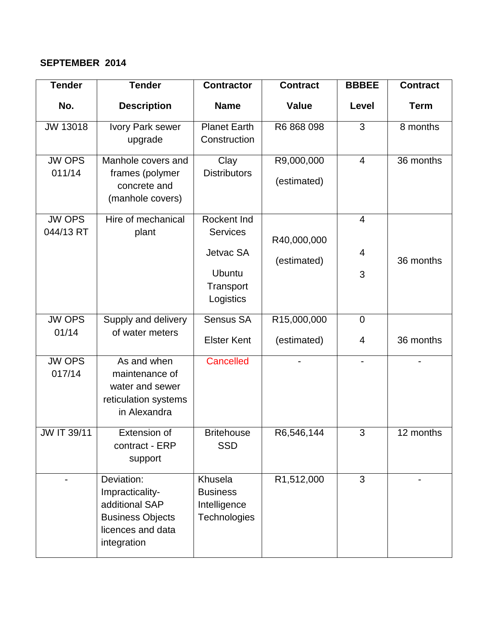### **SEPTEMBER 2014**

| <b>Tender</b>              | <b>Tender</b>                                                                                                  | <b>Contractor</b>                                                 | <b>Contract</b>           | <b>BBBEE</b>   | <b>Contract</b> |
|----------------------------|----------------------------------------------------------------------------------------------------------------|-------------------------------------------------------------------|---------------------------|----------------|-----------------|
| No.                        | <b>Description</b>                                                                                             | <b>Name</b>                                                       | <b>Value</b>              | Level          | <b>Term</b>     |
| JW 13018                   | Ivory Park sewer<br>upgrade                                                                                    | <b>Planet Earth</b><br>Construction                               | R6 868 098                | 3              | 8 months        |
| <b>JW OPS</b><br>011/14    | Manhole covers and<br>frames (polymer<br>concrete and<br>(manhole covers)                                      | Clay<br><b>Distributors</b>                                       | R9,000,000<br>(estimated) | $\overline{4}$ | 36 months       |
| <b>JW OPS</b><br>044/13 RT | Hire of mechanical<br>plant                                                                                    | Rockent Ind<br><b>Services</b>                                    | R40,000,000               | $\overline{4}$ |                 |
|                            |                                                                                                                | Jetvac SA                                                         | (estimated)               | 4              | 36 months       |
|                            |                                                                                                                | <b>Ubuntu</b><br>Transport<br>Logistics                           |                           | 3              |                 |
| <b>JW OPS</b>              | Supply and delivery                                                                                            | Sensus SA                                                         | R15,000,000               | $\mathbf 0$    |                 |
| 01/14                      | of water meters                                                                                                | <b>Elster Kent</b>                                                | (estimated)               | 4              | 36 months       |
| <b>JW OPS</b><br>017/14    | As and when<br>maintenance of<br>water and sewer<br>reticulation systems<br>in Alexandra                       | Cancelled                                                         |                           |                |                 |
| JW IT 39/11                | Extension of<br>contract - ERP<br>support                                                                      | <b>Britehouse</b><br><b>SSD</b>                                   | R6,546,144                | 3              | 12 months       |
|                            | Deviation:<br>Impracticality-<br>additional SAP<br><b>Business Objects</b><br>licences and data<br>integration | Khusela<br><b>Business</b><br>Intelligence<br><b>Technologies</b> | R1,512,000                | 3              |                 |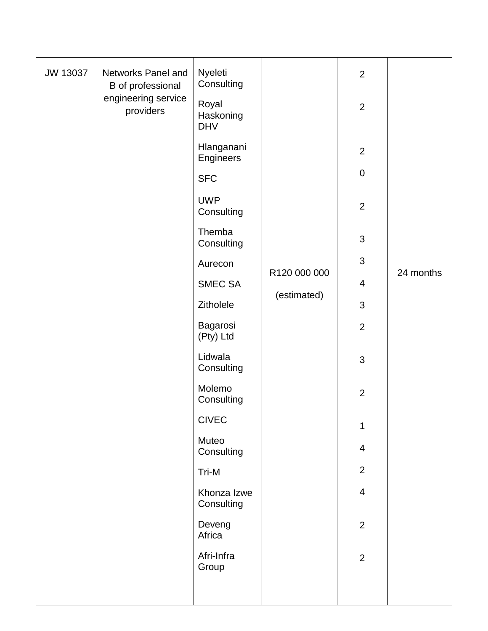| JW 13037 | Networks Panel and<br>B of professional | Nyeleti<br>Consulting            |              | $\overline{2}$ |           |
|----------|-----------------------------------------|----------------------------------|--------------|----------------|-----------|
|          | engineering service<br>providers        | Royal<br>Haskoning<br><b>DHV</b> |              | $\overline{2}$ |           |
|          |                                         | Hlanganani<br>Engineers          |              | $\overline{2}$ |           |
|          |                                         | <b>SFC</b>                       |              | $\pmb{0}$      |           |
|          |                                         | <b>UWP</b><br>Consulting         |              | $\overline{2}$ |           |
|          |                                         | Themba<br>Consulting             |              | 3              |           |
|          |                                         | Aurecon                          | R120 000 000 | $\mathfrak{S}$ |           |
|          |                                         | <b>SMEC SA</b>                   |              | $\overline{4}$ | 24 months |
|          |                                         | Zitholele                        | (estimated)  | 3              |           |
|          |                                         | Bagarosi<br>(Pty) Ltd            |              | $\overline{2}$ |           |
|          |                                         | Lidwala<br>Consulting            |              | $\mathfrak{S}$ |           |
|          |                                         | Molemo<br>Consulting             |              | $\overline{2}$ |           |
|          |                                         | <b>CIVEC</b>                     |              | 1              |           |
|          |                                         | Muteo<br>Consulting              |              | $\overline{4}$ |           |
|          |                                         | Tri-M                            |              | $\overline{2}$ |           |
|          |                                         | Khonza Izwe<br>Consulting        |              | $\overline{4}$ |           |
|          |                                         | Deveng<br>Africa                 |              | $\overline{2}$ |           |
|          |                                         | Afri-Infra<br>Group              |              | $\overline{2}$ |           |
|          |                                         |                                  |              |                |           |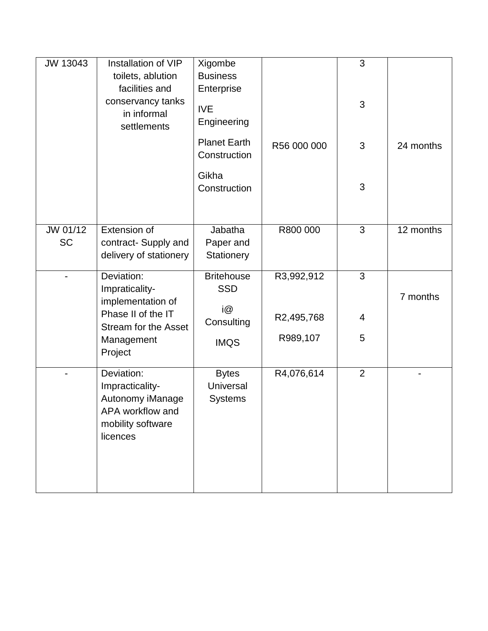| JW 13043              | Installation of VIP<br>toilets, ablution<br>facilities and<br>conservancy tanks<br>in informal<br>settlements | Xigombe<br><b>Business</b><br>Enterprise<br><b>IVE</b><br>Engineering<br><b>Planet Earth</b><br>Construction<br>Gikha<br>Construction | R56 000 000 | 3<br>3<br>3<br>3 | 24 months |
|-----------------------|---------------------------------------------------------------------------------------------------------------|---------------------------------------------------------------------------------------------------------------------------------------|-------------|------------------|-----------|
| JW 01/12<br><b>SC</b> | Extension of<br>contract- Supply and<br>delivery of stationery                                                | Jabatha<br>Paper and<br>Stationery                                                                                                    | R800 000    | 3                | 12 months |
|                       | Deviation:<br>Impraticality-<br>implementation of                                                             | <b>Britehouse</b><br><b>SSD</b>                                                                                                       | R3,992,912  | 3                | 7 months  |
|                       | Phase II of the IT<br><b>Stream for the Asset</b>                                                             | i@<br>Consulting                                                                                                                      | R2,495,768  | 4                |           |
|                       | Management<br>Project                                                                                         | <b>IMQS</b>                                                                                                                           | R989,107    | 5                |           |
|                       | Deviation:<br>Impracticality-<br>Autonomy iManage<br>APA workflow and<br>mobility software<br>licences        | <b>Bytes</b><br><b>Universal</b><br><b>Systems</b>                                                                                    | R4,076,614  | $\overline{2}$   |           |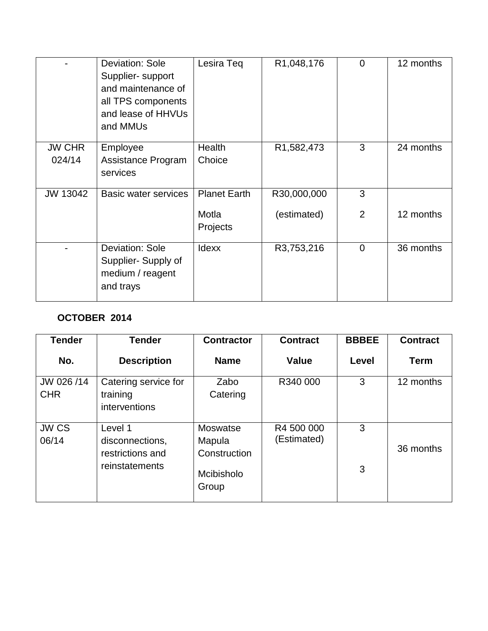|                         | <b>Deviation: Sole</b><br>Supplier- support<br>and maintenance of<br>all TPS components<br>and lease of HHVUs<br>and MMUs | Lesira Teq          | R1,048,176  | $\Omega$       | 12 months |
|-------------------------|---------------------------------------------------------------------------------------------------------------------------|---------------------|-------------|----------------|-----------|
| <b>JW CHR</b><br>024/14 | Employee<br>Assistance Program<br>services                                                                                | Health<br>Choice    | R1,582,473  | 3              | 24 months |
| JW 13042                | Basic water services                                                                                                      | <b>Planet Earth</b> | R30,000,000 | 3              |           |
|                         |                                                                                                                           | Motla<br>Projects   | (estimated) | $\overline{2}$ | 12 months |
|                         | <b>Deviation: Sole</b><br>Supplier-Supply of<br>medium / reagent<br>and trays                                             | <b>Idexx</b>        | R3,753,216  | $\overline{0}$ | 36 months |

# **OCTOBER 2014**

| <b>Tender</b>            | <b>Tender</b>                                     | <b>Contractor</b>                         | <b>Contract</b>           | <b>BBBEE</b> | <b>Contract</b> |
|--------------------------|---------------------------------------------------|-------------------------------------------|---------------------------|--------------|-----------------|
| No.                      | <b>Description</b>                                | <b>Name</b>                               | Value                     | <b>Level</b> | <b>Term</b>     |
| JW 026 /14<br><b>CHR</b> | Catering service for<br>training<br>interventions | Zabo<br>Catering                          | R340 000                  | 3            | 12 months       |
| JW CS<br>06/14           | Level 1<br>disconnections,<br>restrictions and    | <b>Moswatse</b><br>Mapula<br>Construction | R4 500 000<br>(Estimated) | 3            | 36 months       |
|                          | reinstatements                                    | Mcibisholo<br>Group                       |                           | 3            |                 |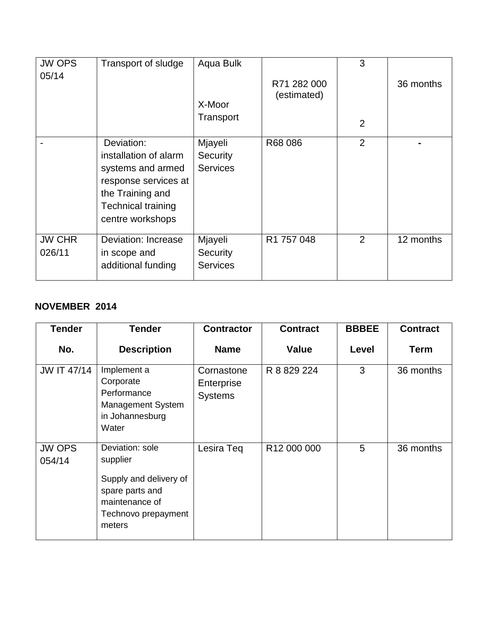| <b>JW OPS</b><br>05/14  | Transport of sludge                                                                                                                                   | Aqua Bulk<br>X-Moor<br>Transport       | R71 282 000<br>(estimated) | 3<br>$\overline{2}$ | 36 months |
|-------------------------|-------------------------------------------------------------------------------------------------------------------------------------------------------|----------------------------------------|----------------------------|---------------------|-----------|
|                         | Deviation:<br>installation of alarm<br>systems and armed<br>response services at<br>the Training and<br><b>Technical training</b><br>centre workshops | Mjayeli<br>Security<br><b>Services</b> | R68 086                    | $\overline{2}$      |           |
| <b>JW CHR</b><br>026/11 | Deviation: Increase<br>in scope and<br>additional funding                                                                                             | Mjayeli<br>Security<br><b>Services</b> | R1 757 048                 | 2                   | 12 months |

## **NOVEMBER 2014**

| <b>Tender</b>           | <b>Tender</b>                                                                                                               | <b>Contractor</b>                          | <b>Contract</b> | <b>BBBEE</b> | <b>Contract</b> |
|-------------------------|-----------------------------------------------------------------------------------------------------------------------------|--------------------------------------------|-----------------|--------------|-----------------|
| No.                     | <b>Description</b>                                                                                                          | <b>Name</b>                                | <b>Value</b>    | Level        | <b>Term</b>     |
| <b>JW IT 47/14</b>      | Implement a<br>Corporate<br>Performance<br>Management System<br>in Johannesburg<br>Water                                    | Cornastone<br>Enterprise<br><b>Systems</b> | R 8 829 224     | 3            | 36 months       |
| <b>JW OPS</b><br>054/14 | Deviation: sole<br>supplier<br>Supply and delivery of<br>spare parts and<br>maintenance of<br>Technovo prepayment<br>meters | Lesira Teq                                 | R12 000 000     | 5            | 36 months       |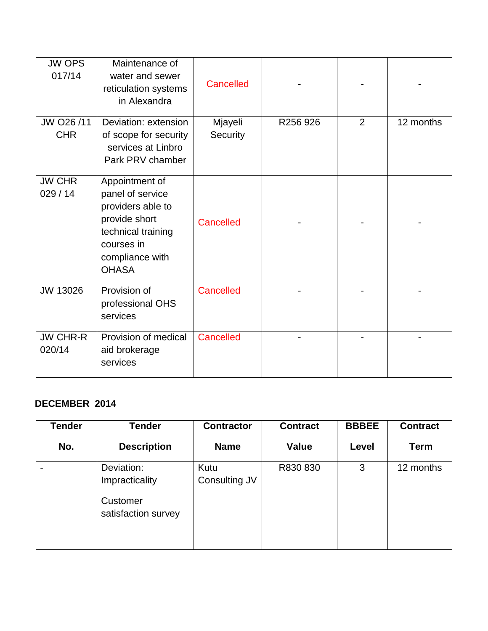| <b>JW OPS</b><br>017/14   | Maintenance of<br>water and sewer<br>reticulation systems<br>in Alexandra                                                                       | Cancelled           |          |   |           |
|---------------------------|-------------------------------------------------------------------------------------------------------------------------------------------------|---------------------|----------|---|-----------|
| JW O26 /11<br><b>CHR</b>  | Deviation: extension<br>of scope for security<br>services at Linbro<br>Park PRV chamber                                                         | Mjayeli<br>Security | R256 926 | 2 | 12 months |
| <b>JW CHR</b><br>029/14   | Appointment of<br>panel of service<br>providers able to<br>provide short<br>technical training<br>courses in<br>compliance with<br><b>OHASA</b> | Cancelled           |          |   |           |
| JW 13026                  | Provision of<br>professional OHS<br>services                                                                                                    | Cancelled           |          |   |           |
| <b>JW CHR-R</b><br>020/14 | Provision of medical<br>aid brokerage<br>services                                                                                               | Cancelled           |          |   |           |

# **DECEMBER 2014**

| <b>Tender</b> | <b>Tender</b>                                                   | <b>Contractor</b>     | <b>Contract</b> | <b>BBBEE</b> | <b>Contract</b> |
|---------------|-----------------------------------------------------------------|-----------------------|-----------------|--------------|-----------------|
| No.           | <b>Description</b>                                              | <b>Name</b>           | Value           | Level        | <b>Term</b>     |
|               | Deviation:<br>Impracticality<br>Customer<br>satisfaction survey | Kutu<br>Consulting JV | R830 830        | 3            | 12 months       |